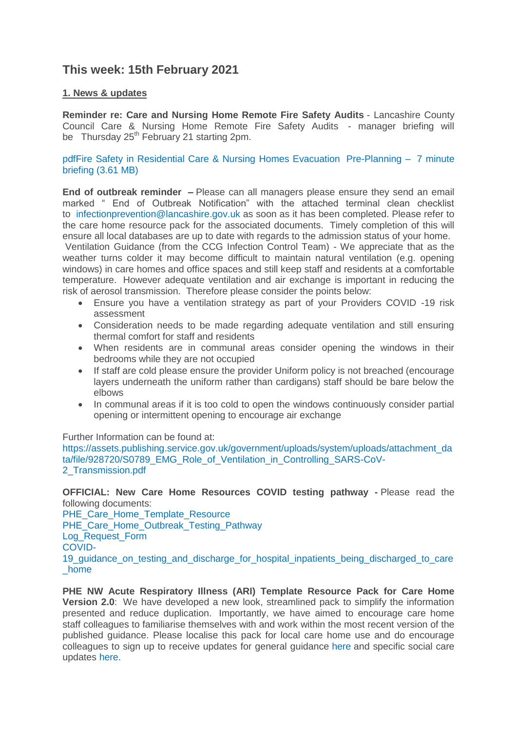# **This week: 15th February 2021**

## **1. News & updates**

**Reminder re: Care and Nursing Home Remote Fire Safety Audits** - Lancashire County Council Care & Nursing Home Remote Fire Safety Audits - manager briefing will be Thursday  $25<sup>th</sup>$  February 21 starting 2pm.

[pdfFire Safety in Residential Care & Nursing Homes Evacuation](https://eastlancsccg.nhs.uk/about-us/publications/2771-lsab-and-lfrs-fire-safety-in-residential-care-nursing-homes-evacuation) Pre-Planning – 7 minute briefing [\(3.61 MB\)](https://eastlancsccg.nhs.uk/about-us/publications/2771-lsab-and-lfrs-fire-safety-in-residential-care-nursing-homes-evacuation)

**End of outbreak reminder –** Please can all managers please ensure they send an email marked " End of Outbreak Notification" with the attached terminal clean checklist to [infectionprevention@lancashire.gov.uk](mailto:infectionprevention@lancashire.gov.uk) as soon as it has been completed. Please refer to the care home resource pack for the associated documents. Timely completion of this will ensure all local databases are up to date with regards to the admission status of your home.

Ventilation Guidance (from the CCG Infection Control Team) - We appreciate that as the weather turns colder it may become difficult to maintain natural ventilation (e.g. opening windows) in care homes and office spaces and still keep staff and residents at a comfortable temperature. However adequate ventilation and air exchange is important in reducing the risk of aerosol transmission. Therefore please consider the points below:

- Ensure you have a ventilation strategy as part of your Providers COVID -19 risk assessment
- Consideration needs to be made regarding adequate ventilation and still ensuring thermal comfort for staff and residents
- When residents are in communal areas consider opening the windows in their bedrooms while they are not occupied
- If staff are cold please ensure the provider Uniform policy is not breached (encourage layers underneath the uniform rather than cardigans) staff should be bare below the elbows
- In communal areas if it is too cold to open the windows continuously consider partial opening or intermittent opening to encourage air exchange

Further Information can be found at:

[https://assets.publishing.service.gov.uk/government/uploads/system/uploads/attachment\\_da](https://assets.publishing.service.gov.uk/government/uploads/system/uploads/attachment_data/file/928720/S0789_EMG_Role_of_Ventilation_in_Controlling_SARS-CoV-2_Transmission.pdf) [ta/file/928720/S0789\\_EMG\\_Role\\_of\\_Ventilation\\_in\\_Controlling\\_SARS-CoV-](https://assets.publishing.service.gov.uk/government/uploads/system/uploads/attachment_data/file/928720/S0789_EMG_Role_of_Ventilation_in_Controlling_SARS-CoV-2_Transmission.pdf)[2\\_Transmission.pdf](https://assets.publishing.service.gov.uk/government/uploads/system/uploads/attachment_data/file/928720/S0789_EMG_Role_of_Ventilation_in_Controlling_SARS-CoV-2_Transmission.pdf)

**OFFICIAL: New Care Home Resources COVID testing pathway -** Please read the following documents:

[PHE\\_Care\\_Home\\_Template\\_Resource](https://eastlancsccg.nhs.uk/images/PHE_NW_ARI_Care_Home_Template_Resource_v2_11012021.pptx) [PHE\\_Care\\_Home\\_Outbreak\\_Testing\\_Pathway](https://eastlancsccg.nhs.uk/images/PHE_NW_ARI_CARE_HOME_OUTBREAK_TESTING_PATHWAY_11012021_v.1.5.pdf) [Log\\_Request\\_Form](https://eastlancsccg.nhs.uk/images/Ilog_Request_Form_V9_11012021.docx) [COVID-](https://eastlancsccg.nhs.uk/images/Flowchart_on_the_application_of_COVID-19_guidance_on_testing_and_discharge_for_hospital_inpatients_being_discharged_to_care_home.pdf)19 quidance on testing and discharge for hospital inpatients being discharged to care [\\_home](https://eastlancsccg.nhs.uk/images/Flowchart_on_the_application_of_COVID-19_guidance_on_testing_and_discharge_for_hospital_inpatients_being_discharged_to_care_home.pdf)

**PHE NW Acute Respiratory Illness (ARI) Template Resource Pack for Care Home Version 2.0**: We have developed a new look, streamlined pack to simplify the information presented and reduce duplication. Importantly, we have aimed to encourage care home staff colleagues to familiarise themselves with and work within the most recent version of the published guidance. Please localise this pack for local care home use and do encourage colleagues to sign up to receive updates for general guidance [here](https://eur01.safelinks.protection.outlook.com/?url=https%3A%2F%2Fwww.gov.uk%2Femail-signup%3Ftopic%3D%2Fcoronavirus-taxon&data=04%7C01%7CICC.Northwest%40phe.gov.uk%7C43409d913cfe4836d83808d8b6ea2da9%7Cee4e14994a354b2ead475f3cf9de8666%7C0%7C0%7C637460464223163495%7CUnknown%7CTWFpbGZsb3d8eyJWIjoiMC4wLjAwMDAiLCJQIjoiV2luMzIiLCJBTiI6Ik1haWwiLCJXVCI6Mn0%3D%7C1000&sdata=AHge6%2F2yyUXLRWU1ibFh3r221NBwYIT%2BMTt71VeYLYo%3D&reserved=0) and specific social care updates [here.](https://eur01.safelinks.protection.outlook.com/?url=https%3A%2F%2Fdhsc-mail.co.uk%2Fform%2FSx1iaZDJ%2Fd4e8f5123aa2d11bf90fb9e3%2F&data=04%7C01%7CICC.Northwest%40phe.gov.uk%7C43409d913cfe4836d83808d8b6ea2da9%7Cee4e14994a354b2ead475f3cf9de8666%7C0%7C0%7C637460464223163495%7CUnknown%7CTWFpbGZsb3d8eyJWIjoiMC4wLjAwMDAiLCJQIjoiV2luMzIiLCJBTiI6Ik1haWwiLCJXVCI6Mn0%3D%7C1000&sdata=AeD387cOKNfN9zu3LcGoT8SjKSa0Uw959oiprQfyhHo%3D&reserved=0)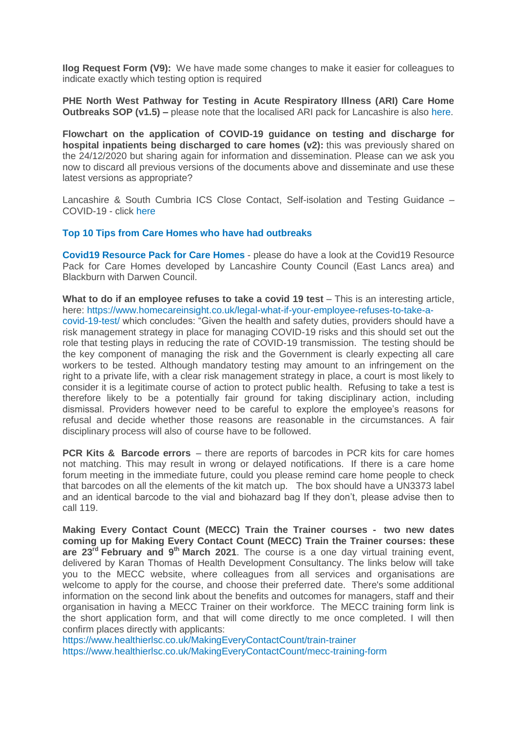**Ilog Request Form (V9):** We have made some changes to make it easier for colleagues to indicate exactly which testing option is required

**PHE North West Pathway for Testing in Acute Respiratory Illness (ARI) Care Home Outbreaks SOP (v1.5)** – please note that the localised ARI pack for Lancashire is also [here.](https://www.lancashire.gov.uk/media/921449/phe-nw-acute-respiratory-illness-ari-template-resource-pack-for-care-homes-version-20.pdf)

**Flowchart on the application of COVID-19 guidance on testing and discharge for hospital inpatients being discharged to care homes (v2):** this was previously shared on the 24/12/2020 but sharing again for information and dissemination. Please can we ask you now to discard all previous versions of the documents above and disseminate and use these latest versions as appropriate?

Lancashire & South Cumbria ICS Close Contact, Self-isolation and Testing Guidance – COVID-19 - click [here](https://eastlancsccg.nhs.uk/images/Staff_notice_guide_to_close_contacts_self-isolation_and_testing_version__.pdf)

#### **[Top 10 Tips from Care Homes who have had outbreaks](https://eastlancsccg.nhs.uk/images/RegulatedCareSector/Top_ten_tips.docx)**

**[Covid19 Resource Pack for Care Homes](https://www.lancashire.gov.uk/practitioners/health-and-social-care/care-service-provider-engagement/coronavirus-covid-19-information-for-care-providers/residential-and-nursing-care/)** - please do have a look at the Covid19 Resource Pack for Care Homes developed by Lancashire County Council (East Lancs area) and Blackburn with Darwen Council.

**What to do if an employee refuses to take a covid 19 test** – This is an interesting article, here: [https://www.homecareinsight.co.uk/legal-what-if-your-employee-refuses-to-take-a-](https://www.homecareinsight.co.uk/legal-what-if-your-employee-refuses-to-take-a-covid-19-test/)

[covid-19-test/](https://www.homecareinsight.co.uk/legal-what-if-your-employee-refuses-to-take-a-covid-19-test/) which concludes: "Given the health and safety duties, providers should have a risk management strategy in place for managing COVID-19 risks and this should set out the role that testing plays in reducing the rate of COVID-19 transmission. The testing should be the key component of managing the risk and the Government is clearly expecting all care workers to be tested. Although mandatory testing may amount to an infringement on the right to a private life, with a clear risk management strategy in place, a court is most likely to consider it is a legitimate course of action to protect public health. Refusing to take a test is therefore likely to be a potentially fair ground for taking disciplinary action, including dismissal. Providers however need to be careful to explore the employee's reasons for refusal and decide whether those reasons are reasonable in the circumstances. A fair disciplinary process will also of course have to be followed.

**PCR Kits & Barcode errors** – there are reports of barcodes in PCR kits for care homes not matching. This may result in wrong or delayed notifications. If there is a care home forum meeting in the immediate future, could you please remind care home people to check that barcodes on all the elements of the kit match up. The box should have a UN3373 label and an identical barcode to the vial and biohazard bag If they don't, please advise then to call 119.

**Making Every Contact Count (MECC) Train the Trainer courses - two new dates coming up for Making Every Contact Count (MECC) Train the Trainer courses: these are 23rd February and 9th March 2021**. The course is a one day virtual training event, delivered by Karan Thomas of Health Development Consultancy. The links below will take you to the MECC website, where colleagues from all services and organisations are welcome to apply for the course, and choose their preferred date. There's some additional information on the second link about the benefits and outcomes for managers, staff and their organisation in having a MECC Trainer on their workforce. The MECC training form link is the short application form, and that will come directly to me once completed. I will then confirm places directly with applicants:

<https://www.healthierlsc.co.uk/MakingEveryContactCount/train-trainer> <https://www.healthierlsc.co.uk/MakingEveryContactCount/mecc-training-form>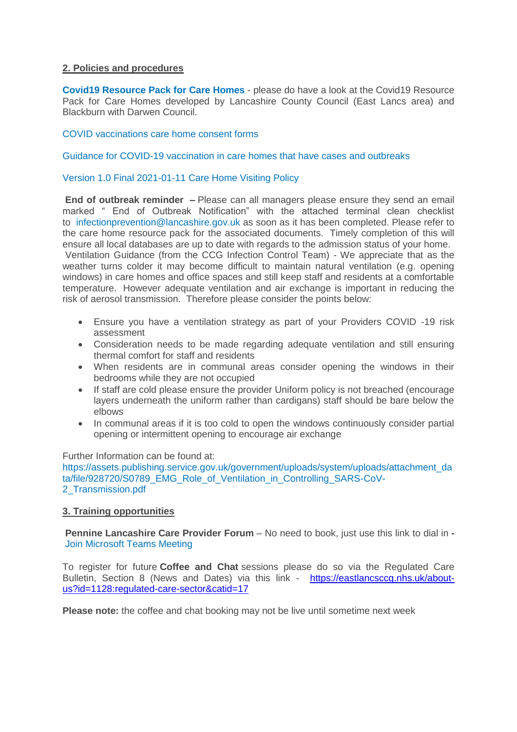## **2. Policies and procedures**

**[Covid19 Resource Pack for Care Homes](https://www.lancashire.gov.uk/practitioners/health-and-social-care/care-service-provider-engagement/coronavirus-covid-19-information-for-care-providers/residential-and-nursing-care/)** - please do have a look at the Covid19 Resource Pack for Care Homes developed by Lancashire County Council (East Lancs area) and Blackburn with Darwen Council.

#### [COVID vaccinations care home consent forms](https://eastlancsccg.nhs.uk/images/RegulatedCareSector/20201208_ICS_CH_CvdVacConsentForm_v1_FINAL.PDF)

#### [Guidance for COVID-19 vaccination in care homes that have cases and outbreaks](https://www.england.nhs.uk/coronavirus/publication/guidance-for-covid-19-vaccination-in-care-homes-that-have-cases-and-outbreaks/)

## [Version 1.0 Final 2021-01-11 Care Home Visiting Policy](https://www.gov.uk/government/publications/visiting-care-homes-during-coronavirus/update-on-policies-for-visiting-arrangements-in-care-homes)

**End of outbreak reminder –** Please can all managers please ensure they send an email marked " End of Outbreak Notification" with the attached terminal clean checklist to [infectionprevention@lancashire.gov.uk](mailto:infectionprevention@lancashire.gov.uk) as soon as it has been completed. Please refer to the care home resource pack for the associated documents. Timely completion of this will ensure all local databases are up to date with regards to the admission status of your home. Ventilation Guidance (from the CCG Infection Control Team) - We appreciate that as the weather turns colder it may become difficult to maintain natural ventilation (e.g. opening windows) in care homes and office spaces and still keep staff and residents at a comfortable temperature. However adequate ventilation and air exchange is important in reducing the risk of aerosol transmission. Therefore please consider the points below:

- Ensure you have a ventilation strategy as part of your Providers COVID -19 risk assessment
- Consideration needs to be made regarding adequate ventilation and still ensuring thermal comfort for staff and residents
- When residents are in communal areas consider opening the windows in their bedrooms while they are not occupied
- If staff are cold please ensure the provider Uniform policy is not breached (encourage layers underneath the uniform rather than cardigans) staff should be bare below the elbows
- In communal areas if it is too cold to open the windows continuously consider partial opening or intermittent opening to encourage air exchange

Further Information can be found at:

[https://assets.publishing.service.gov.uk/government/uploads/system/uploads/attachment\\_da](https://assets.publishing.service.gov.uk/government/uploads/system/uploads/attachment_data/file/928720/S0789_EMG_Role_of_Ventilation_in_Controlling_SARS-CoV-2_Transmission.pdf) [ta/file/928720/S0789\\_EMG\\_Role\\_of\\_Ventilation\\_in\\_Controlling\\_SARS-CoV-](https://assets.publishing.service.gov.uk/government/uploads/system/uploads/attachment_data/file/928720/S0789_EMG_Role_of_Ventilation_in_Controlling_SARS-CoV-2_Transmission.pdf)[2\\_Transmission.pdf](https://assets.publishing.service.gov.uk/government/uploads/system/uploads/attachment_data/file/928720/S0789_EMG_Role_of_Ventilation_in_Controlling_SARS-CoV-2_Transmission.pdf)

#### **3. Training opportunities**

**Pennine Lancashire Care Provider Forum** – No need to book, just use this link to dial in **-** [Join Microsoft Teams Meeting](https://teams.microsoft.com/l/meetup-join/19%3ameeting_OWE0ZjdiNjUtNTRmZC00YzE2LWFhMjYtYjk2MGRhOTQ5NTEw%40thread.v2/0?context=%7b%22Tid%22%3a%2237c354b2-85b0-47f5-b222-07b48d774ee3%22%2c%22Oid%22%3a%226ae1fd49-b6bd-4e18-8c59-b3f5992aa6e2%22%7d)

To register for future **Coffee and Chat** sessions please do so via the Regulated Care Bulletin, Section 8 (News and Dates) via this link - [https://eastlancsccg.nhs.uk/about](https://eastlancsccg.nhs.uk/about-us?id=1128:regulated-care-sector&catid=17)[us?id=1128:regulated-care-sector&catid=17](https://eastlancsccg.nhs.uk/about-us?id=1128:regulated-care-sector&catid=17)

**Please note:** the coffee and chat booking may not be live until sometime next week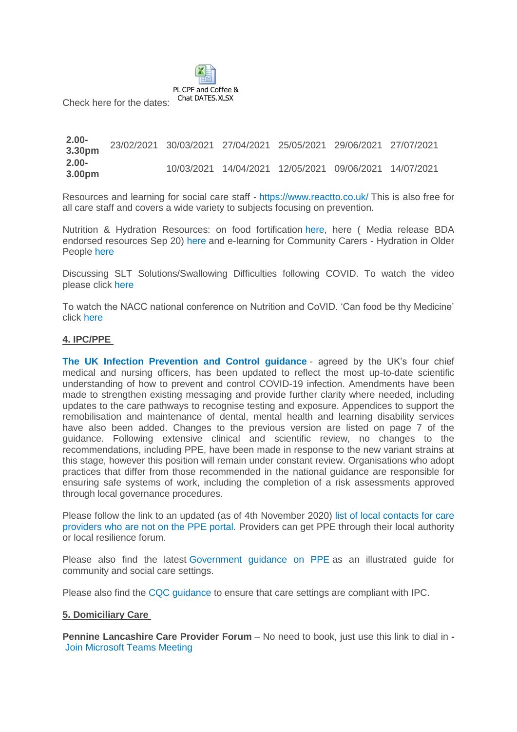

Check here for the dates:

**2.00- 3.30pm** 23/02/2021 30/03/2021 27/04/2021 25/05/2021 29/06/2021 27/07/2021 **2.00- 3.00pm** 10/03/2021 14/04/2021 12/05/2021 09/06/2021 14/07/2021

Resources and learning for social care staff - <https://www.reactto.co.uk/> This is also free for all care staff and covers a wide variety to subjects focusing on prevention.

Nutrition & Hydration Resources: on food fortification [here,](file:///C:/Users/libby.horsfield/AppData/Local/Microsoft/Windows/INetCache/Content.Outlook/JPBAACMK/images/Food_Fortification.pdf) here ( Media release BDA endorsed resources Sep 20) [here](file:///C:/Users/libby.horsfield/AppData/Local/Microsoft/Windows/INetCache/Content.Outlook/JPBAACMK/images/Media_release_BDA_endorsed_resources_Sep_20.docx) and e-learning for Community Carers - Hydration in Older People [here](file:///C:/Users/libby.horsfield/AppData/Local/Microsoft/Windows/INetCache/Content.Outlook/JPBAACMK/images/e-learning_for_Community_Carers_-_Hydration_in_Older_People.docx)

Discussing SLT Solutions/Swallowing Difficulties following COVID. To watch the video please click [here](https://bit.ly/2G8VuhL)

To watch the NACC national conference on Nutrition and CoVID. 'Can food be thy Medicine' click [here](https://bit.ly/2TnSmkZ)

## **4. IPC/PPE**

**[The UK Infection Prevention and Control guidance](https://www.gov.uk/government/publications/wuhan-novel-coronavirus-infection-prevention-and-control)** - agreed by the UK's four chief medical and nursing officers, has been updated to reflect the most up-to-date scientific understanding of how to prevent and control COVID-19 infection. Amendments have been made to strengthen existing messaging and provide further clarity where needed, including updates to the care pathways to recognise testing and exposure. Appendices to support the remobilisation and maintenance of dental, mental health and learning disability services have also been added. Changes to the previous version are listed on page 7 of the guidance. Following extensive clinical and scientific review, no changes to the recommendations, including PPE, have been made in response to the new variant strains at this stage, however this position will remain under constant review. Organisations who adopt practices that differ from those recommended in the national guidance are responsible for ensuring safe systems of work, including the completion of a risk assessments approved through local governance procedures.

Please follow the link to an updated (as of 4th November 2020) list of local contacts for care [providers who are not on the PPE portal.](https://www.gov.uk/guidance/personal-protective-equipment-ppe-local-contacts-for-care-providers?utm_source=7b0599ce-5951-49ad-aa64-8d33f4581bd8&utm_medium=email&utm_campaign=govuk-notifications&utm_content=daily) Providers can get PPE through their local authority or local resilience forum.

Please also find the latest [Government guidance on PPE](https://www.gov.uk/government/publications/personal-protective-equipment-ppe-illustrated-guide-for-community-and-social-care-settings) as an illustrated guide for community and social care settings.

Please also find the [CQC guidance](https://www.cqc.org.uk/guidance-providers/residential-adult-social-care/infection-prevention-control-care-homes) to ensure that care settings are compliant with IPC.

#### **5. Domiciliary Care**

**Pennine Lancashire Care Provider Forum** – No need to book, just use this link to dial in **-** [Join Microsoft Teams Meeting](https://teams.microsoft.com/l/meetup-join/19%3ameeting_OWE0ZjdiNjUtNTRmZC00YzE2LWFhMjYtYjk2MGRhOTQ5NTEw%40thread.v2/0?context=%7b%22Tid%22%3a%2237c354b2-85b0-47f5-b222-07b48d774ee3%22%2c%22Oid%22%3a%226ae1fd49-b6bd-4e18-8c59-b3f5992aa6e2%22%7d)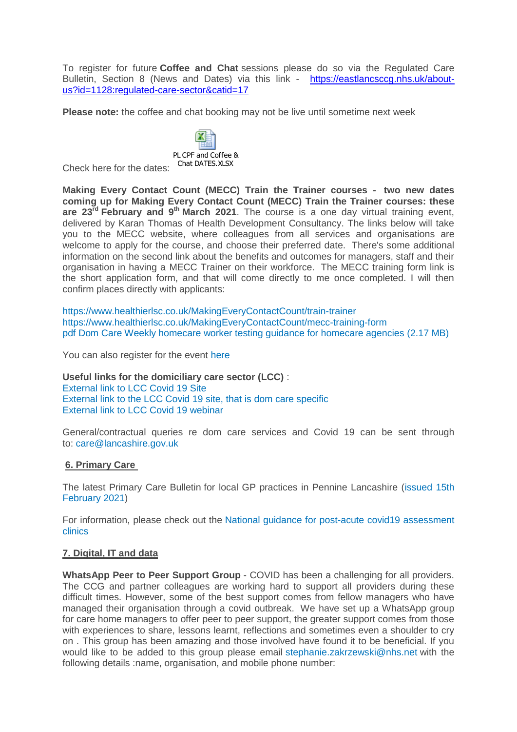To register for future **Coffee and Chat** sessions please do so via the Regulated Care Bulletin, Section 8 (News and Dates) via this link - [https://eastlancsccg.nhs.uk/about](https://eastlancsccg.nhs.uk/about-us?id=1128:regulated-care-sector&catid=17)[us?id=1128:regulated-care-sector&catid=17](https://eastlancsccg.nhs.uk/about-us?id=1128:regulated-care-sector&catid=17)

**Please note:** the coffee and chat booking may not be live until sometime next week



Check here for the dates:

**Making Every Contact Count (MECC) Train the Trainer courses - two new dates coming up for Making Every Contact Count (MECC) Train the Trainer courses: these are 23rd February and 9th March 2021**. The course is a one day virtual training event, delivered by Karan Thomas of Health Development Consultancy. The links below will take you to the MECC website, where colleagues from all services and organisations are welcome to apply for the course, and choose their preferred date. There's some additional information on the second link about the benefits and outcomes for managers, staff and their organisation in having a MECC Trainer on their workforce. The MECC training form link is the short application form, and that will come directly to me once completed. I will then confirm places directly with applicants:

<https://www.healthierlsc.co.uk/MakingEveryContactCount/train-trainer> <https://www.healthierlsc.co.uk/MakingEveryContactCount/mecc-training-form> [pdf Dom Care Weekly homecare worker testing guidance for homecare agencies](https://eastlancsccg.nhs.uk/contact-us/freedom-of-information/disclosure-logs/publications/2730-dom-care-weekly-homecare-worker-testing-guidance-for-homecare-agencies) (2.17 MB)

You can also register for the event [here](https://www.eventbrite.co.uk/e/virtual-coffee-engagement-an-online-sessions-to-support-the-care-sector-tickets-137296701129)

**Useful links for the domiciliary care sector (LCC)** : [External link to LCC Covid 19 Site](https://www.lancashire.gov.uk/practitioners/health-and-social-care/care-service-provider-engagement/coronavirus-covid-19-information-for-care-providers/) [External link to the LCC Covid 19 site, that is dom care specific](https://www.lancashire.gov.uk/practitioners/health-and-social-care/care-service-provider-engagement/coronavirus-covid-19-information-for-care-providers/home-care/) [External link to LCC Covid 19 webinar](https://www.lancashire.gov.uk/practitioners/health-and-social-care/care-service-provider-engagement/coronavirus-covid-19-information-for-care-providers/local-communications-to-providers-and-service-users/covid-19-provider-engagement-webinars/)

General/contractual queries re dom care services and Covid 19 can be sent through to: [care@lancashire.gov.uk](mailto:care@lancashire.gov.uk)

## **6. Primary Care**

The latest Primary Care Bulletin for local GP practices in Pennine Lancashire [\(issued 15th](https://eastlancsccg.nhs.uk/images/20210215_Primary_Care_Briefing_from_Dr_M_Dziobon_No_169_for_circulation.pdf)  [February 2021\)](https://eastlancsccg.nhs.uk/images/20210215_Primary_Care_Briefing_from_Dr_M_Dziobon_No_169_for_circulation.pdf)

For information, please check out the [National guidance for post-acute covid19 assessment](https://www.england.nhs.uk/coronavirus/guidance-for-everyone/your-covid-recovery/)  [clinics](https://www.england.nhs.uk/coronavirus/guidance-for-everyone/your-covid-recovery/) 

#### **7. Digital, IT and data**

**WhatsApp Peer to Peer Support Group** - COVID has been a challenging for all providers. The CCG and partner colleagues are working hard to support all providers during these difficult times. However, some of the best support comes from fellow managers who have managed their organisation through a covid outbreak. We have set up a WhatsApp group for care home managers to offer peer to peer support, the greater support comes from those with experiences to share, lessons learnt, reflections and sometimes even a shoulder to cry on . This group has been amazing and those involved have found it to be beneficial. If you would like to be added to this group please email [stephanie.zakrzewski@nhs.net](mailto:stephanie.zakrzewski@nhs.net) with the following details :name, organisation, and mobile phone number: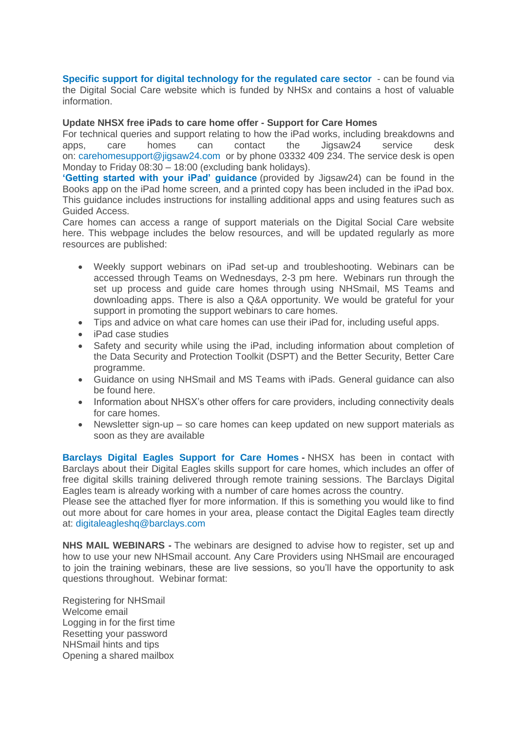**[Specific support for digital technology for the regulated care sector](https://www.digitalsocialcare.co.uk/)** - can be found via the Digital Social Care website which is funded by NHSx and contains a host of valuable information.

#### **Update NHSX free iPads to care home offer - Support for Care Homes**

For technical queries and support relating to how the iPad works, including breakdowns and apps, care homes can contact the Jigsaw24 service desk on: [carehomesupport@jigsaw24.com](mailto:carehomesupport@jigsaw24.com) or by phone 03332 409 234. The service desk is open Monday to Friday 08:30 – 18:00 (excluding bank holidays).

**['Getting started with your iPad' guidance](https://eastlancsccg.nhs.uk/images/jigsaw24_CareHome_ipad_guide.pdf)** (provided by Jigsaw24) can be found in the Books app on the iPad home screen, and a printed copy has been included in the iPad box. This guidance includes instructions for installing additional apps and using features such as Guided Access.

Care homes can access a range of support materials on the Digital Social Care website here. This webpage includes the below resources, and will be updated regularly as more resources are published:

- Weekly support webinars on iPad set-up and troubleshooting. Webinars can be accessed through Teams on Wednesdays, 2-3 pm here. Webinars run through the set up process and guide care homes through using NHSmail, MS Teams and downloading apps. There is also a Q&A opportunity. We would be grateful for your support in promoting the support webinars to care homes.
- Tips and advice on what care homes can use their iPad for, including useful apps.
- iPad case studies
- Safety and security while using the iPad, including information about completion of the Data Security and Protection Toolkit (DSPT) and the Better Security, Better Care programme.
- Guidance on using NHSmail and MS Teams with iPads. General guidance can also be found here.
- Information about NHSX's other offers for care providers, including connectivity deals for care homes.
- Newsletter sign-up so care homes can keep updated on new support materials as soon as they are available

**[Barclays Digital Eagles Support for Care Homes](https://eastlancsccg.nhs.uk/images/Barclays_Digital_Eagles_Care_Home_Flyer.pdf) -** NHSX has been in contact with Barclays about their Digital Eagles skills support for care homes, which includes an offer of free digital skills training delivered through remote training sessions. The Barclays Digital Eagles team is already working with a number of care homes across the country.

Please see the attached flyer for more information. If this is something you would like to find out more about for care homes in your area, please contact the Digital Eagles team directly at: [digitaleagleshq@barclays.com](mailto:digitaleagleshq@barclays.com)

**NHS MAIL WEBINARS -** The webinars are designed to advise how to register, set up and how to use your new NHSmail account. Any Care Providers using NHSmail are encouraged to join the training webinars, these are live sessions, so you'll have the opportunity to ask questions throughout. Webinar format:

Registering for NHSmail Welcome email Logging in for the first time Resetting your password NHSmail hints and tips Opening a shared mailbox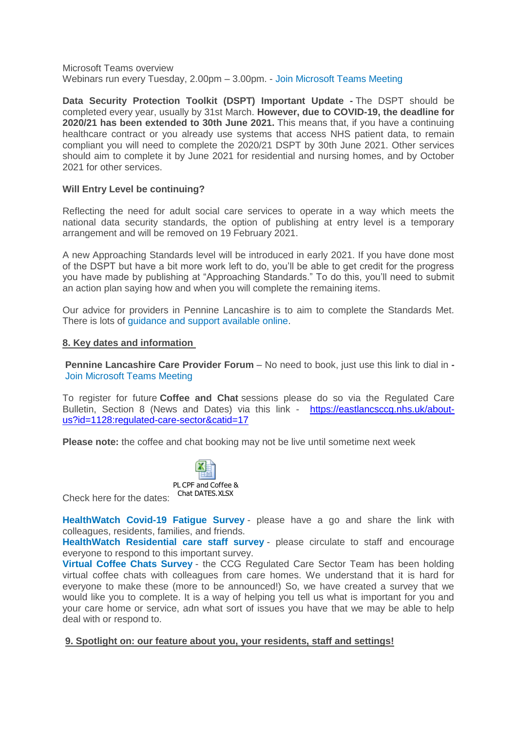Microsoft Teams overview Webinars run every Tuesday, 2.00pm – 3.00pm. - [Join Microsoft Teams Meeting](https://teams.microsoft.com/l/meetup-join/19%3ameeting_ZGQ1MTkzMDAtZjU4OS00MDhhLWE1ZDgtNmUxNjIyNjcyYmZi%40thread.v2/0?context=%7b%22Tid%22%3a%2203159e92-72c6-4b23-a64a-af50e790adbf%22%2c%22Oid%22%3a%22cc4ef5b2-82a3-43ca-8a81-da50f393d1c8%22%7d)

**Data Security Protection Toolkit (DSPT) Important Update -** The DSPT should be completed every year, usually by 31st March. **However, due to COVID-19, the deadline for 2020/21 has been extended to 30th June 2021.** This means that, if you have a continuing healthcare contract or you already use systems that access NHS patient data, to remain compliant you will need to complete the 2020/21 DSPT by 30th June 2021. Other services should aim to complete it by June 2021 for residential and nursing homes, and by October 2021 for other services.

## **Will Entry Level be continuing?**

Reflecting the need for adult social care services to operate in a way which meets the national data security standards, the option of publishing at entry level is a temporary arrangement and will be removed on 19 February 2021.

A new Approaching Standards level will be introduced in early 2021. If you have done most of the DSPT but have a bit more work left to do, you'll be able to get credit for the progress you have made by publishing at "Approaching Standards." To do this, you'll need to submit an action plan saying how and when you will complete the remaining items.

Our advice for providers in Pennine Lancashire is to aim to complete the Standards Met. There is lots of [guidance and support available online.](https://www.digitalsocialcare.co.uk/data-security-protecting-my-information/data-security-and-protection-toolkit/)

#### **8. Key dates and information**

**Pennine Lancashire Care Provider Forum** – No need to book, just use this link to dial in **-** [Join Microsoft Teams Meeting](https://teams.microsoft.com/l/meetup-join/19%3ameeting_OWE0ZjdiNjUtNTRmZC00YzE2LWFhMjYtYjk2MGRhOTQ5NTEw%40thread.v2/0?context=%7b%22Tid%22%3a%2237c354b2-85b0-47f5-b222-07b48d774ee3%22%2c%22Oid%22%3a%226ae1fd49-b6bd-4e18-8c59-b3f5992aa6e2%22%7d)

To register for future **Coffee and Chat** sessions please do so via the Regulated Care Bulletin, Section 8 (News and Dates) via this link - [https://eastlancsccg.nhs.uk/about](https://eastlancsccg.nhs.uk/about-us?id=1128:regulated-care-sector&catid=17)[us?id=1128:regulated-care-sector&catid=17](https://eastlancsccg.nhs.uk/about-us?id=1128:regulated-care-sector&catid=17)

**Please note:** the coffee and chat booking may not be live until sometime next week



Check here for the dates:

**HealthWatch [Covid-19 Fatigue Survey](https://healthwatchlancashire.co.uk/news/covid-survey)** - please have a go and share the link with colleagues, residents, families, and friends.

**[HealthWatch Residential care staff survey](https://www.surveymonkey.co.uk/r/F37VV7N)** - please circulate to staff and encourage everyone to respond to this important survey.

**[Virtual Coffee Chats Survey](https://www.surveymonkey.co.uk/r/COVID_VCC)** - the CCG Regulated Care Sector Team has been holding virtual coffee chats with colleagues from care homes. We understand that it is hard for everyone to make these (more to be announced!) So, we have created a survey that we would like you to complete. It is a way of helping you tell us what is important for you and your care home or service, adn what sort of issues you have that we may be able to help deal with or respond to.

#### **9. Spotlight on: our feature about you, your residents, staff and settings!**